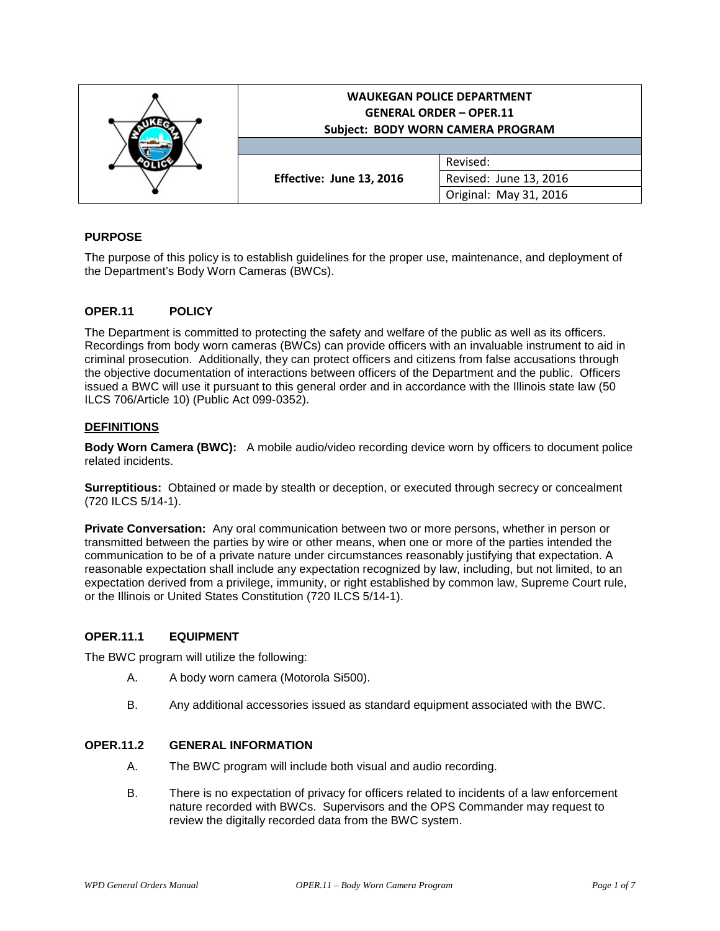|  | <b>WAUKEGAN POLICE DEPARTMENT</b><br><b>GENERAL ORDER - OPER.11</b><br>Subject: BODY WORN CAMERA PROGRAM |                        |
|--|----------------------------------------------------------------------------------------------------------|------------------------|
|  | Effective: June 13, 2016                                                                                 | Revised:               |
|  |                                                                                                          | Revised: June 13, 2016 |
|  |                                                                                                          | Original: May 31, 2016 |

# **PURPOSE**

The purpose of this policy is to establish guidelines for the proper use, maintenance, and deployment of the Department's Body Worn Cameras (BWCs).

# **OPER.11 POLICY**

The Department is committed to protecting the safety and welfare of the public as well as its officers. Recordings from body worn cameras (BWCs) can provide officers with an invaluable instrument to aid in criminal prosecution. Additionally, they can protect officers and citizens from false accusations through the objective documentation of interactions between officers of the Department and the public. Officers issued a BWC will use it pursuant to this general order and in accordance with the Illinois state law (50 ILCS 706/Article 10) (Public Act 099-0352).

### **DEFINITIONS**

**Body Worn Camera (BWC):** A mobile audio/video recording device worn by officers to document police related incidents.

**Surreptitious:** Obtained or made by stealth or deception, or executed through secrecy or concealment (720 ILCS 5/14-1).

**Private Conversation:** Any oral communication between two or more persons, whether in person or transmitted between the parties by wire or other means, when one or more of the parties intended the communication to be of a private nature under circumstances reasonably justifying that expectation. A reasonable expectation shall include any expectation recognized by law, including, but not limited, to an expectation derived from a privilege, immunity, or right established by common law, Supreme Court rule, or the Illinois or United States Constitution (720 ILCS 5/14-1).

#### **OPER.11.1 EQUIPMENT**

The BWC program will utilize the following:

- A. A body worn camera (Motorola Si500).
- B. Any additional accessories issued as standard equipment associated with the BWC.

#### **OPER.11.2 GENERAL INFORMATION**

- A. The BWC program will include both visual and audio recording.
- B. There is no expectation of privacy for officers related to incidents of a law enforcement nature recorded with BWCs. Supervisors and the OPS Commander may request to review the digitally recorded data from the BWC system.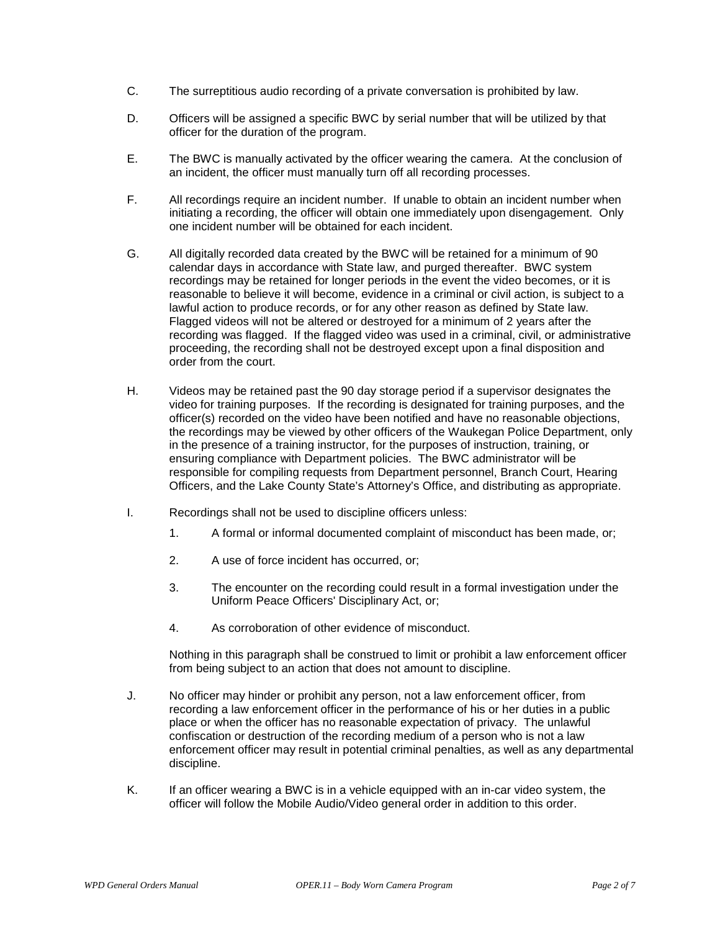- C. The surreptitious audio recording of a private conversation is prohibited by law.
- D. Officers will be assigned a specific BWC by serial number that will be utilized by that officer for the duration of the program.
- E. The BWC is manually activated by the officer wearing the camera. At the conclusion of an incident, the officer must manually turn off all recording processes.
- F. All recordings require an incident number. If unable to obtain an incident number when initiating a recording, the officer will obtain one immediately upon disengagement. Only one incident number will be obtained for each incident.
- G. All digitally recorded data created by the BWC will be retained for a minimum of 90 calendar days in accordance with State law, and purged thereafter. BWC system recordings may be retained for longer periods in the event the video becomes, or it is reasonable to believe it will become, evidence in a criminal or civil action, is subject to a lawful action to produce records, or for any other reason as defined by State law. Flagged videos will not be altered or destroyed for a minimum of 2 years after the recording was flagged. If the flagged video was used in a criminal, civil, or administrative proceeding, the recording shall not be destroyed except upon a final disposition and order from the court.
- H. Videos may be retained past the 90 day storage period if a supervisor designates the video for training purposes. If the recording is designated for training purposes, and the officer(s) recorded on the video have been notified and have no reasonable objections, the recordings may be viewed by other officers of the Waukegan Police Department, only in the presence of a training instructor, for the purposes of instruction, training, or ensuring compliance with Department policies. The BWC administrator will be responsible for compiling requests from Department personnel, Branch Court, Hearing Officers, and the Lake County State's Attorney's Office, and distributing as appropriate.
- I. Recordings shall not be used to discipline officers unless:
	- 1. A formal or informal documented complaint of misconduct has been made, or;
	- 2. A use of force incident has occurred, or;
	- 3. The encounter on the recording could result in a formal investigation under the Uniform Peace Officers' Disciplinary Act, or;
	- 4. As corroboration of other evidence of misconduct.

Nothing in this paragraph shall be construed to limit or prohibit a law enforcement officer from being subject to an action that does not amount to discipline.

- J. No officer may hinder or prohibit any person, not a law enforcement officer, from recording a law enforcement officer in the performance of his or her duties in a public place or when the officer has no reasonable expectation of privacy. The unlawful confiscation or destruction of the recording medium of a person who is not a law enforcement officer may result in potential criminal penalties, as well as any departmental discipline.
- K. If an officer wearing a BWC is in a vehicle equipped with an in-car video system, the officer will follow the Mobile Audio/Video general order in addition to this order.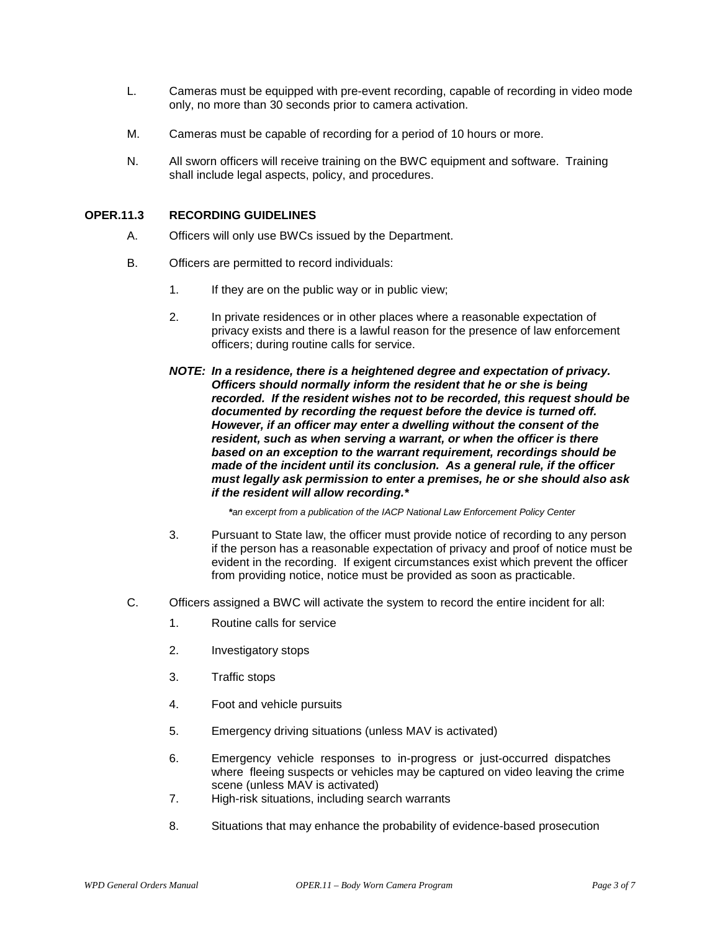- L. Cameras must be equipped with pre-event recording, capable of recording in video mode only, no more than 30 seconds prior to camera activation.
- M. Cameras must be capable of recording for a period of 10 hours or more.
- N. All sworn officers will receive training on the BWC equipment and software. Training shall include legal aspects, policy, and procedures.

# **OPER.11.3 RECORDING GUIDELINES**

- A. Officers will only use BWCs issued by the Department.
- B. Officers are permitted to record individuals:
	- 1. If they are on the public way or in public view;
	- 2. In private residences or in other places where a reasonable expectation of privacy exists and there is a lawful reason for the presence of law enforcement officers; during routine calls for service.
	- *NOTE: In a residence, there is a heightened degree and expectation of privacy. Officers should normally inform the resident that he or she is being recorded. If the resident wishes not to be recorded, this request should be documented by recording the request before the device is turned off. However, if an officer may enter a dwelling without the consent of the resident, such as when serving a warrant, or when the officer is there based on an exception to the warrant requirement, recordings should be made of the incident until its conclusion. As a general rule, if the officer must legally ask permission to enter a premises, he or she should also ask if the resident will allow recording.\**

*\*an excerpt from a publication of the IACP National Law Enforcement Policy Center*

- 3. Pursuant to State law, the officer must provide notice of recording to any person if the person has a reasonable expectation of privacy and proof of notice must be evident in the recording. If exigent circumstances exist which prevent the officer from providing notice, notice must be provided as soon as practicable.
- C. Officers assigned a BWC will activate the system to record the entire incident for all:
	- 1. Routine calls for service
	- 2. Investigatory stops
	- 3. Traffic stops
	- 4. Foot and vehicle pursuits
	- 5. Emergency driving situations (unless MAV is activated)
	- 6. Emergency vehicle responses to in-progress or just-occurred dispatches where fleeing suspects or vehicles may be captured on video leaving the crime scene (unless MAV is activated)
	- 7. High-risk situations, including search warrants
	- 8. Situations that may enhance the probability of evidence-based prosecution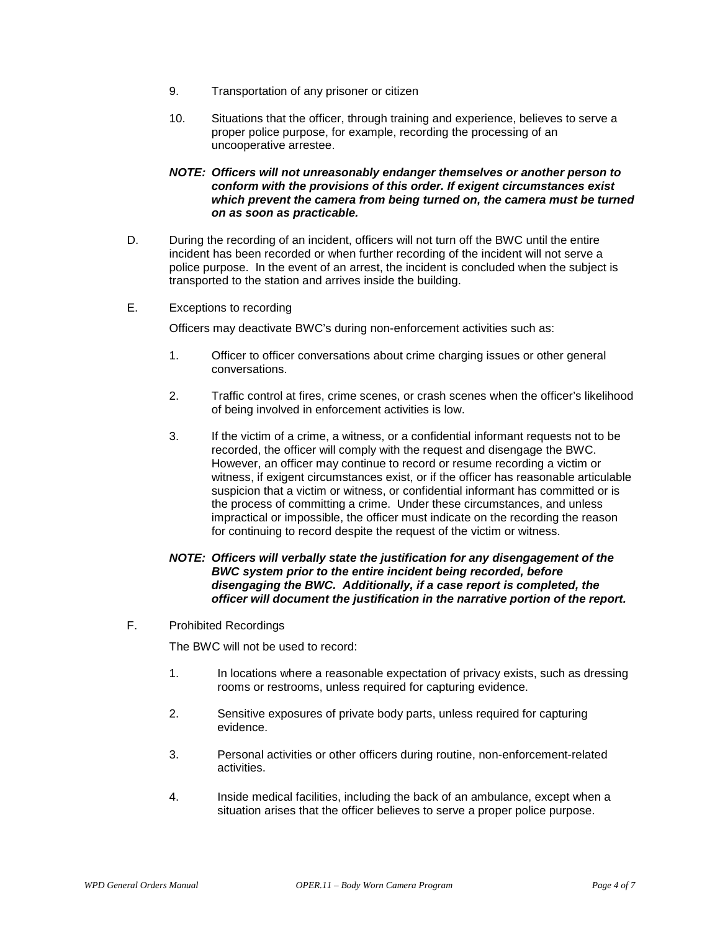- 9. Transportation of any prisoner or citizen
- 10. Situations that the officer, through training and experience, believes to serve a proper police purpose, for example, recording the processing of an uncooperative arrestee.

### *NOTE: Officers will not unreasonably endanger themselves or another person to conform with the provisions of this order. If exigent circumstances exist which prevent the camera from being turned on, the camera must be turned on as soon as practicable.*

- D. During the recording of an incident, officers will not turn off the BWC until the entire incident has been recorded or when further recording of the incident will not serve a police purpose. In the event of an arrest, the incident is concluded when the subject is transported to the station and arrives inside the building.
- E. Exceptions to recording

Officers may deactivate BWC's during non-enforcement activities such as:

- 1. Officer to officer conversations about crime charging issues or other general conversations.
- 2. Traffic control at fires, crime scenes, or crash scenes when the officer's likelihood of being involved in enforcement activities is low.
- 3. If the victim of a crime, a witness, or a confidential informant requests not to be recorded, the officer will comply with the request and disengage the BWC. However, an officer may continue to record or resume recording a victim or witness, if exigent circumstances exist, or if the officer has reasonable articulable suspicion that a victim or witness, or confidential informant has committed or is the process of committing a crime. Under these circumstances, and unless impractical or impossible, the officer must indicate on the recording the reason for continuing to record despite the request of the victim or witness.

# *NOTE: Officers will verbally state the justification for any disengagement of the BWC system prior to the entire incident being recorded, before disengaging the BWC. Additionally, if a case report is completed, the officer will document the justification in the narrative portion of the report.*

F. Prohibited Recordings

The BWC will not be used to record:

- 1. In locations where a reasonable expectation of privacy exists, such as dressing rooms or restrooms, unless required for capturing evidence.
- 2. Sensitive exposures of private body parts, unless required for capturing evidence.
- 3. Personal activities or other officers during routine, non-enforcement-related activities.
- 4. Inside medical facilities, including the back of an ambulance, except when a situation arises that the officer believes to serve a proper police purpose.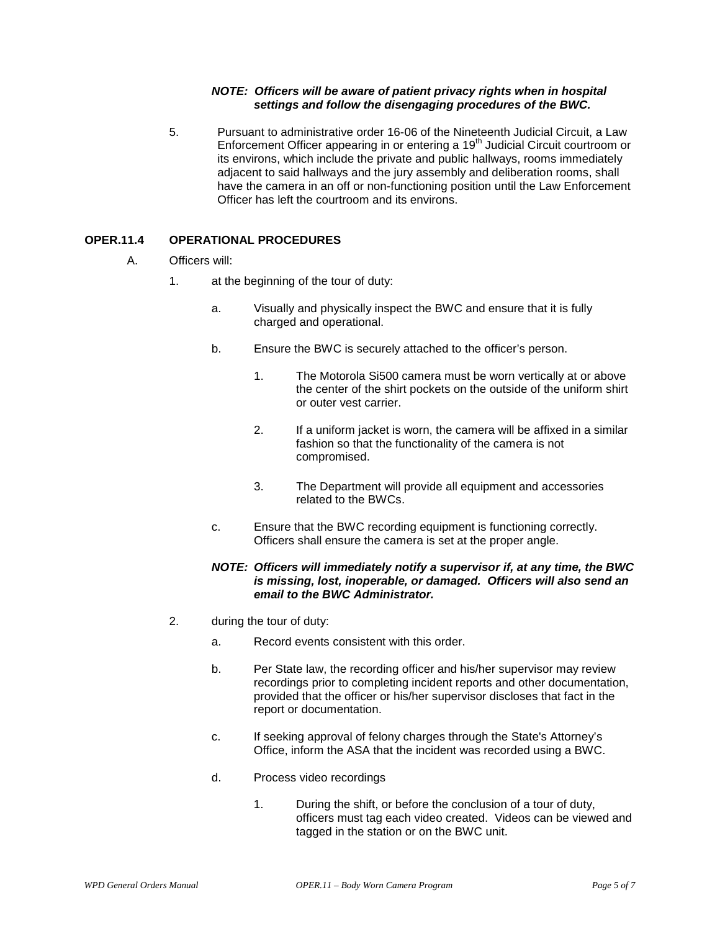# *NOTE: Officers will be aware of patient privacy rights when in hospital settings and follow the disengaging procedures of the BWC.*

5. Pursuant to administrative order 16-06 of the Nineteenth Judicial Circuit, a Law Enforcement Officer appearing in or entering a  $19<sup>th</sup>$  Judicial Circuit courtroom or its environs, which include the private and public hallways, rooms immediately adjacent to said hallways and the jury assembly and deliberation rooms, shall have the camera in an off or non-functioning position until the Law Enforcement Officer has left the courtroom and its environs.

# **OPER.11.4 OPERATIONAL PROCEDURES**

- A. Officers will:
	- 1. at the beginning of the tour of duty:
		- a. Visually and physically inspect the BWC and ensure that it is fully charged and operational.
		- b. Ensure the BWC is securely attached to the officer's person.
			- 1. The Motorola Si500 camera must be worn vertically at or above the center of the shirt pockets on the outside of the uniform shirt or outer vest carrier.
			- 2. If a uniform jacket is worn, the camera will be affixed in a similar fashion so that the functionality of the camera is not compromised.
			- 3. The Department will provide all equipment and accessories related to the BWCs.
		- c. Ensure that the BWC recording equipment is functioning correctly. Officers shall ensure the camera is set at the proper angle.

# *NOTE: Officers will immediately notify a supervisor if, at any time, the BWC is missing, lost, inoperable, or damaged. Officers will also send an email to the BWC Administrator.*

- 2. during the tour of duty:
	- a. Record events consistent with this order.
	- b. Per State law, the recording officer and his/her supervisor may review recordings prior to completing incident reports and other documentation, provided that the officer or his/her supervisor discloses that fact in the report or documentation.
	- c. If seeking approval of felony charges through the State's Attorney's Office, inform the ASA that the incident was recorded using a BWC.
	- d. Process video recordings
		- 1. During the shift, or before the conclusion of a tour of duty, officers must tag each video created. Videos can be viewed and tagged in the station or on the BWC unit.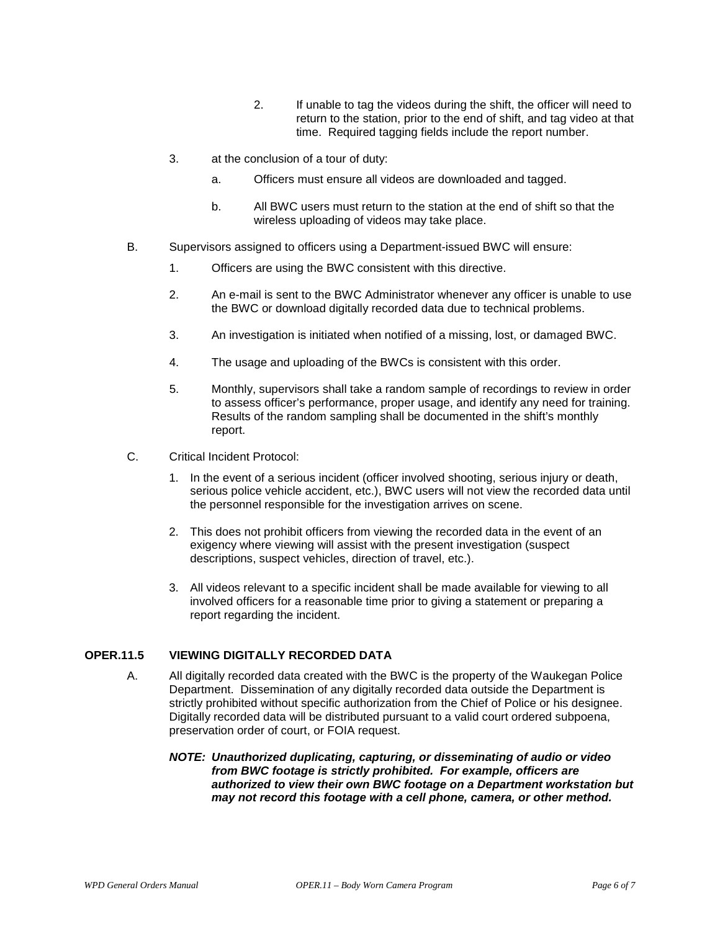- 2. If unable to tag the videos during the shift, the officer will need to return to the station, prior to the end of shift, and tag video at that time. Required tagging fields include the report number.
- 3. at the conclusion of a tour of duty:
	- a. Officers must ensure all videos are downloaded and tagged.
	- b. All BWC users must return to the station at the end of shift so that the wireless uploading of videos may take place.
- B. Supervisors assigned to officers using a Department-issued BWC will ensure:
	- 1. Officers are using the BWC consistent with this directive.
	- 2. An e-mail is sent to the BWC Administrator whenever any officer is unable to use the BWC or download digitally recorded data due to technical problems.
	- 3. An investigation is initiated when notified of a missing, lost, or damaged BWC.
	- 4. The usage and uploading of the BWCs is consistent with this order.
	- 5. Monthly, supervisors shall take a random sample of recordings to review in order to assess officer's performance, proper usage, and identify any need for training. Results of the random sampling shall be documented in the shift's monthly report.
- C. Critical Incident Protocol:
	- 1. In the event of a serious incident (officer involved shooting, serious injury or death, serious police vehicle accident, etc.), BWC users will not view the recorded data until the personnel responsible for the investigation arrives on scene.
	- 2. This does not prohibit officers from viewing the recorded data in the event of an exigency where viewing will assist with the present investigation (suspect descriptions, suspect vehicles, direction of travel, etc.).
	- 3. All videos relevant to a specific incident shall be made available for viewing to all involved officers for a reasonable time prior to giving a statement or preparing a report regarding the incident.

### **OPER.11.5 VIEWING DIGITALLY RECORDED DATA**

- A. All digitally recorded data created with the BWC is the property of the Waukegan Police Department. Dissemination of any digitally recorded data outside the Department is strictly prohibited without specific authorization from the Chief of Police or his designee. Digitally recorded data will be distributed pursuant to a valid court ordered subpoena, preservation order of court, or FOIA request.
	- *NOTE: Unauthorized duplicating, capturing, or disseminating of audio or video from BWC footage is strictly prohibited. For example, officers are authorized to view their own BWC footage on a Department workstation but may not record this footage with a cell phone, camera, or other method.*